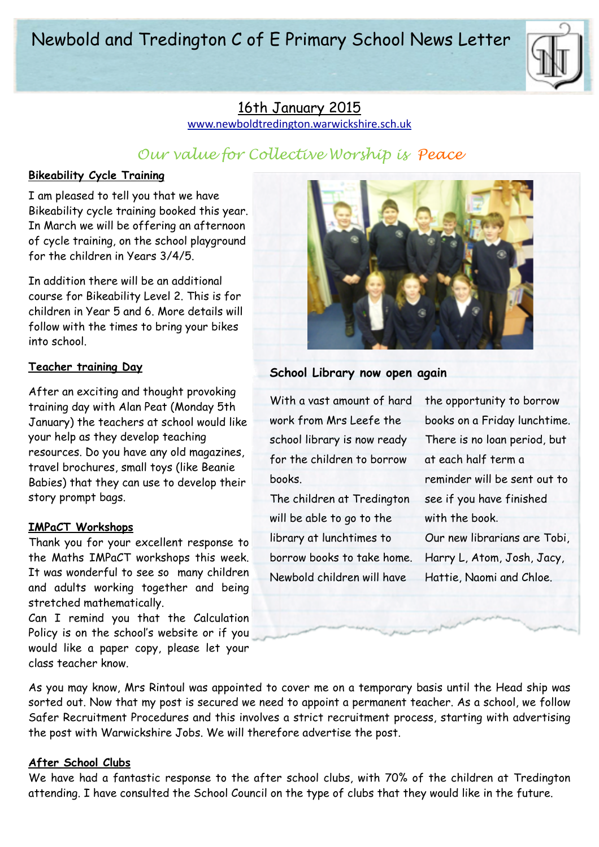# Newbold and Tredington C of E Primary School News Letter



# 16th January 2015

[www.newboldtredington.warwickshire.sch.uk](http://www.newboldtredington.warwickshire.sch.uk)

# *Our value for Collective Worship is Peace*

# **Bikeability Cycle Training**

I am pleased to tell you that we have Bikeability cycle training booked this year. In March we will be offering an afternoon of cycle training, on the school playground for the children in Years 3/4/5.

In addition there will be an additional course for Bikeability Level 2. This is for children in Year 5 and 6. More details will follow with the times to bring your bikes into school.

### **Teacher training Day**

After an exciting and thought provoking training day with Alan Peat (Monday 5th January) the teachers at school would like your help as they develop teaching resources. Do you have any old magazines, travel brochures, small toys (like Beanie Babies) that they can use to develop their story prompt bags.

#### **IMPaCT Workshops**

Thank you for your excellent response to the Maths IMPaCT workshops this week. It was wonderful to see so many children and adults working together and being stretched mathematically.

Can I remind you that the Calculation Policy is on the school's website or if you would like a paper copy, please let your class teacher know.

As you may know, Mrs Rintoul was appointed to cover me on a temporary basis until the Head ship was sorted out. Now that my post is secured we need to appoint a permanent teacher. As a school, we follow Safer Recruitment Procedures and this involves a strict recruitment process, starting with advertising the post with Warwickshire Jobs. We will therefore advertise the post.

# **After School Clubs**

We have had a fantastic response to the after school clubs, with 70% of the children at Tredington attending. I have consulted the School Council on the type of clubs that they would like in the future.



# **School Library now open again**

With a vast amount of hard work from Mrs Leefe the school library is now ready for the children to borrow books.

The children at Tredington will be able to go to the library at lunchtimes to borrow books to take home. Newbold children will have

the opportunity to borrow books on a Friday lunchtime. There is no loan period, but at each half term a reminder will be sent out to see if you have finished with the book. Our new librarians are Tobi, Harry L, Atom, Josh, Jacy, Hattie, Naomi and Chloe.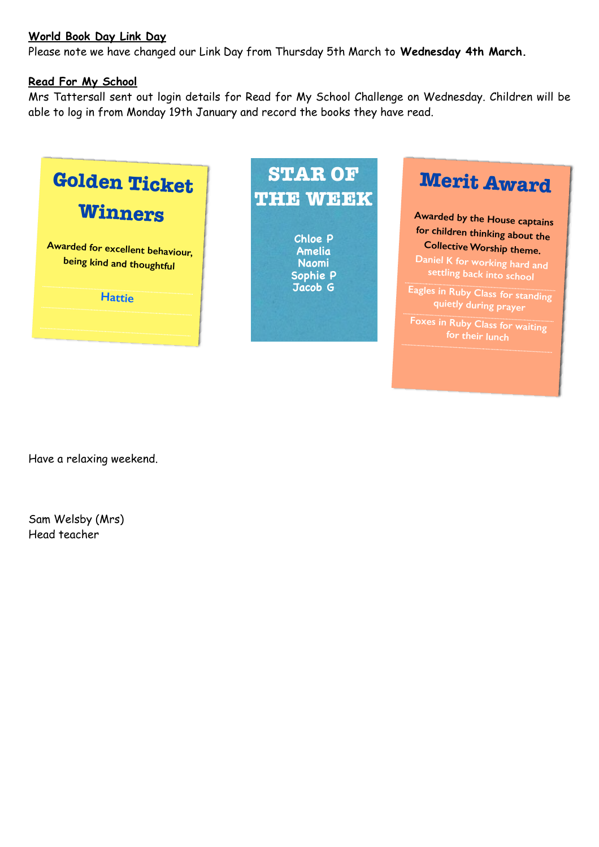## **World Book Day Link Day**

Please note we have changed our Link Day from Thursday 5th March to **Wednesday 4th March.** 

### **Read For My School**

Mrs Tattersall sent out login details for Read for My School Challenge on Wednesday. Children will be able to log in from Monday 19th January and record the books they have read.



**STAR OF THE WEEK**

> **Chloe P Amelia Naomi Sophie P Jacob G**



**Awarded by the House captains for children thinking about the Collective Worship theme.** 

**Daniel K for working hard and settling back into school** 

**Eagles in Ruby Class for standing quietly during prayer** 

**Foxes in Ruby Class for waiting for their lunch**

Have a relaxing weekend.

Sam Welsby (Mrs) Head teacher